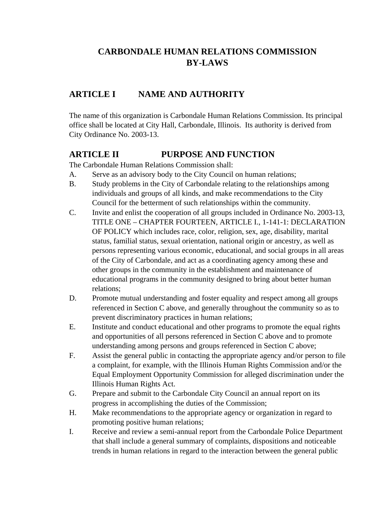# **CARBONDALE HUMAN RELATIONS COMMISSION BY-LAWS**

# **ARTICLE I NAME AND AUTHORITY**

The name of this organization is Carbondale Human Relations Commission. Its principal office shall be located at City Hall, Carbondale, Illinois. Its authority is derived from City Ordinance No. 2003-13.

## **ARTICLE II PURPOSE AND FUNCTION**

The Carbondale Human Relations Commission shall:

- A. Serve as an advisory body to the City Council on human relations;
- B. Study problems in the City of Carbondale relating to the relationships among individuals and groups of all kinds, and make recommendations to the City Council for the betterment of such relationships within the community.
- C. Invite and enlist the cooperation of all groups included in Ordinance No. 2003-13, TITLE ONE – CHAPTER FOURTEEN, ARTICLE I., 1-141-1: DECLARATION OF POLICY which includes race, color, religion, sex, age, disability, marital status, familial status, sexual orientation, national origin or ancestry, as well as persons representing various economic, educational, and social groups in all areas of the City of Carbondale, and act as a coordinating agency among these and other groups in the community in the establishment and maintenance of educational programs in the community designed to bring about better human relations;
- D. Promote mutual understanding and foster equality and respect among all groups referenced in Section C above, and generally throughout the community so as to prevent discriminatory practices in human relations;
- E. Institute and conduct educational and other programs to promote the equal rights and opportunities of all persons referenced in Section C above and to promote understanding among persons and groups referenced in Section C above;
- F. Assist the general public in contacting the appropriate agency and/or person to file a complaint, for example, with the Illinois Human Rights Commission and/or the Equal Employment Opportunity Commission for alleged discrimination under the Illinois Human Rights Act.
- G. Prepare and submit to the Carbondale City Council an annual report on its progress in accomplishing the duties of the Commission;
- H. Make recommendations to the appropriate agency or organization in regard to promoting positive human relations;
- I. Receive and review a semi-annual report from the Carbondale Police Department that shall include a general summary of complaints, dispositions and noticeable trends in human relations in regard to the interaction between the general public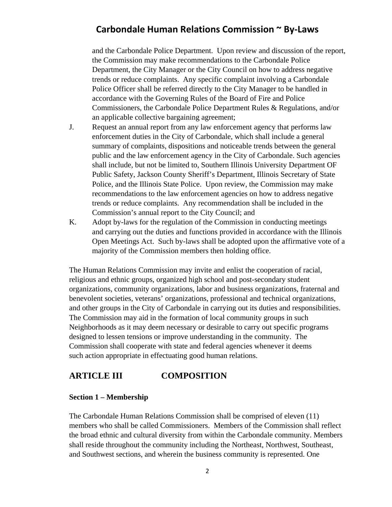and the Carbondale Police Department. Upon review and discussion of the report, the Commission may make recommendations to the Carbondale Police Department, the City Manager or the City Council on how to address negative trends or reduce complaints. Any specific complaint involving a Carbondale Police Officer shall be referred directly to the City Manager to be handled in accordance with the Governing Rules of the Board of Fire and Police Commissioners, the Carbondale Police Department Rules & Regulations, and/or an applicable collective bargaining agreement;

- J. Request an annual report from any law enforcement agency that performs law enforcement duties in the City of Carbondale, which shall include a general summary of complaints, dispositions and noticeable trends between the general public and the law enforcement agency in the City of Carbondale. Such agencies shall include, but not be limited to, Southern Illinois University Department OF Public Safety, Jackson County Sheriff's Department, Illinois Secretary of State Police, and the Illinois State Police. Upon review, the Commission may make recommendations to the law enforcement agencies on how to address negative trends or reduce complaints. Any recommendation shall be included in the Commission's annual report to the City Council; and
- K. Adopt by-laws for the regulation of the Commission in conducting meetings and carrying out the duties and functions provided in accordance with the Illinois Open Meetings Act. Such by-laws shall be adopted upon the affirmative vote of a majority of the Commission members then holding office.

The Human Relations Commission may invite and enlist the cooperation of racial, religious and ethnic groups, organized high school and post-secondary student organizations, community organizations, labor and business organizations, fraternal and benevolent societies, veterans' organizations, professional and technical organizations, and other groups in the City of Carbondale in carrying out its duties and responsibilities. The Commission may aid in the formation of local community groups in such Neighborhoods as it may deem necessary or desirable to carry out specific programs designed to lessen tensions or improve understanding in the community. The Commission shall cooperate with state and federal agencies whenever it deems such action appropriate in effectuating good human relations.

## **ARTICLE III COMPOSITION**

#### **Section 1 – Membership**

The Carbondale Human Relations Commission shall be comprised of eleven (11) members who shall be called Commissioners. Members of the Commission shall reflect the broad ethnic and cultural diversity from within the Carbondale community. Members shall reside throughout the community including the Northeast, Northwest, Southeast, and Southwest sections, and wherein the business community is represented. One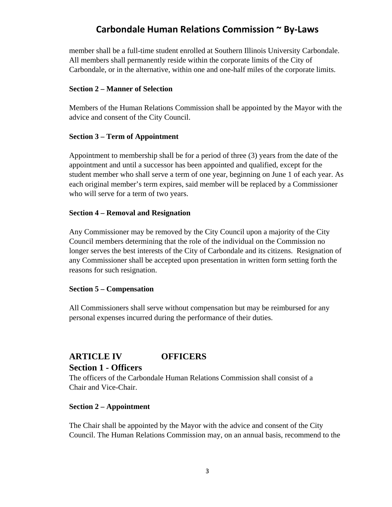member shall be a full-time student enrolled at Southern Illinois University Carbondale. All members shall permanently reside within the corporate limits of the City of Carbondale, or in the alternative, within one and one-half miles of the corporate limits.

#### **Section 2 – Manner of Selection**

Members of the Human Relations Commission shall be appointed by the Mayor with the advice and consent of the City Council.

#### **Section 3 – Term of Appointment**

Appointment to membership shall be for a period of three (3) years from the date of the appointment and until a successor has been appointed and qualified, except for the student member who shall serve a term of one year, beginning on June 1 of each year. As each original member's term expires, said member will be replaced by a Commissioner who will serve for a term of two years.

#### **Section 4 – Removal and Resignation**

Any Commissioner may be removed by the City Council upon a majority of the City Council members determining that the role of the individual on the Commission no longer serves the best interests of the City of Carbondale and its citizens. Resignation of any Commissioner shall be accepted upon presentation in written form setting forth the reasons for such resignation.

#### **Section 5 – Compensation**

All Commissioners shall serve without compensation but may be reimbursed for any personal expenses incurred during the performance of their duties.

## **ARTICLE IV OFFICERS Section 1 - Officers**

The officers of the Carbondale Human Relations Commission shall consist of a Chair and Vice-Chair.

#### **Section 2 – Appointment**

The Chair shall be appointed by the Mayor with the advice and consent of the City Council. The Human Relations Commission may, on an annual basis, recommend to the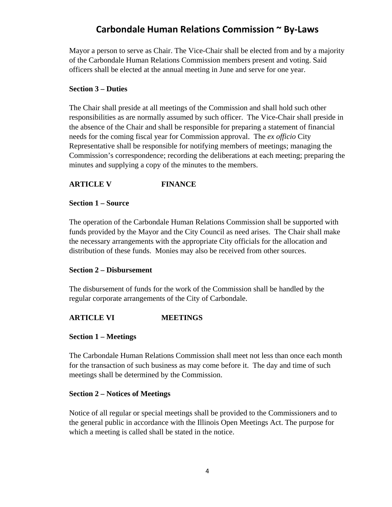Mayor a person to serve as Chair. The Vice-Chair shall be elected from and by a majority of the Carbondale Human Relations Commission members present and voting. Said officers shall be elected at the annual meeting in June and serve for one year.

#### **Section 3 – Duties**

The Chair shall preside at all meetings of the Commission and shall hold such other responsibilities as are normally assumed by such officer. The Vice-Chair shall preside in the absence of the Chair and shall be responsible for preparing a statement of financial needs for the coming fiscal year for Commission approval. The *ex officio* City Representative shall be responsible for notifying members of meetings; managing the Commission's correspondence; recording the deliberations at each meeting; preparing the minutes and supplying a copy of the minutes to the members.

### **ARTICLE V FINANCE**

#### **Section 1 – Source**

The operation of the Carbondale Human Relations Commission shall be supported with funds provided by the Mayor and the City Council as need arises. The Chair shall make the necessary arrangements with the appropriate City officials for the allocation and distribution of these funds. Monies may also be received from other sources.

### **Section 2 – Disbursement**

The disbursement of funds for the work of the Commission shall be handled by the regular corporate arrangements of the City of Carbondale.

## **ARTICLE VI MEETINGS**

#### **Section 1 – Meetings**

The Carbondale Human Relations Commission shall meet not less than once each month for the transaction of such business as may come before it. The day and time of such meetings shall be determined by the Commission.

### **Section 2 – Notices of Meetings**

Notice of all regular or special meetings shall be provided to the Commissioners and to the general public in accordance with the Illinois Open Meetings Act. The purpose for which a meeting is called shall be stated in the notice.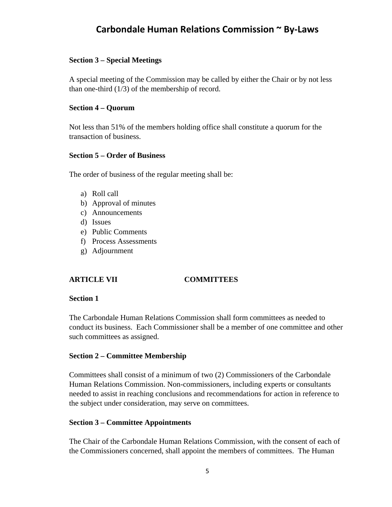#### **Section 3 – Special Meetings**

A special meeting of the Commission may be called by either the Chair or by not less than one-third  $(1/3)$  of the membership of record.

#### **Section 4 – Quorum**

Not less than 51% of the members holding office shall constitute a quorum for the transaction of business.

#### **Section 5 – Order of Business**

The order of business of the regular meeting shall be:

- a) Roll call
- b) Approval of minutes
- c) Announcements
- d) Issues
- e) Public Comments
- f) Process Assessments
- g) Adjournment

### **ARTICLE VII COMMITTEES**

#### **Section 1**

The Carbondale Human Relations Commission shall form committees as needed to conduct its business. Each Commissioner shall be a member of one committee and other such committees as assigned.

### **Section 2 – Committee Membership**

Committees shall consist of a minimum of two (2) Commissioners of the Carbondale Human Relations Commission. Non-commissioners, including experts or consultants needed to assist in reaching conclusions and recommendations for action in reference to the subject under consideration, may serve on committees.

### **Section 3 – Committee Appointments**

The Chair of the Carbondale Human Relations Commission, with the consent of each of the Commissioners concerned, shall appoint the members of committees. The Human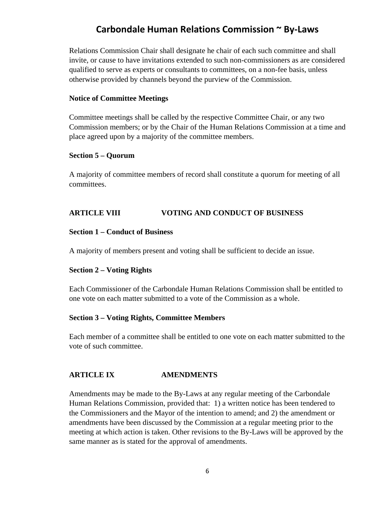Relations Commission Chair shall designate he chair of each such committee and shall invite, or cause to have invitations extended to such non-commissioners as are considered qualified to serve as experts or consultants to committees, on a non-fee basis, unless otherwise provided by channels beyond the purview of the Commission.

#### **Notice of Committee Meetings**

Committee meetings shall be called by the respective Committee Chair, or any two Commission members; or by the Chair of the Human Relations Commission at a time and place agreed upon by a majority of the committee members.

#### **Section 5 – Quorum**

A majority of committee members of record shall constitute a quorum for meeting of all committees.

## **ARTICLE VIII VOTING AND CONDUCT OF BUSINESS**

#### **Section 1 – Conduct of Business**

A majority of members present and voting shall be sufficient to decide an issue.

#### **Section 2 – Voting Rights**

Each Commissioner of the Carbondale Human Relations Commission shall be entitled to one vote on each matter submitted to a vote of the Commission as a whole.

#### **Section 3 – Voting Rights, Committee Members**

Each member of a committee shall be entitled to one vote on each matter submitted to the vote of such committee.

## **ARTICLE IX AMENDMENTS**

Amendments may be made to the By-Laws at any regular meeting of the Carbondale Human Relations Commission, provided that: 1) a written notice has been tendered to the Commissioners and the Mayor of the intention to amend; and 2) the amendment or amendments have been discussed by the Commission at a regular meeting prior to the meeting at which action is taken. Other revisions to the By-Laws will be approved by the same manner as is stated for the approval of amendments.